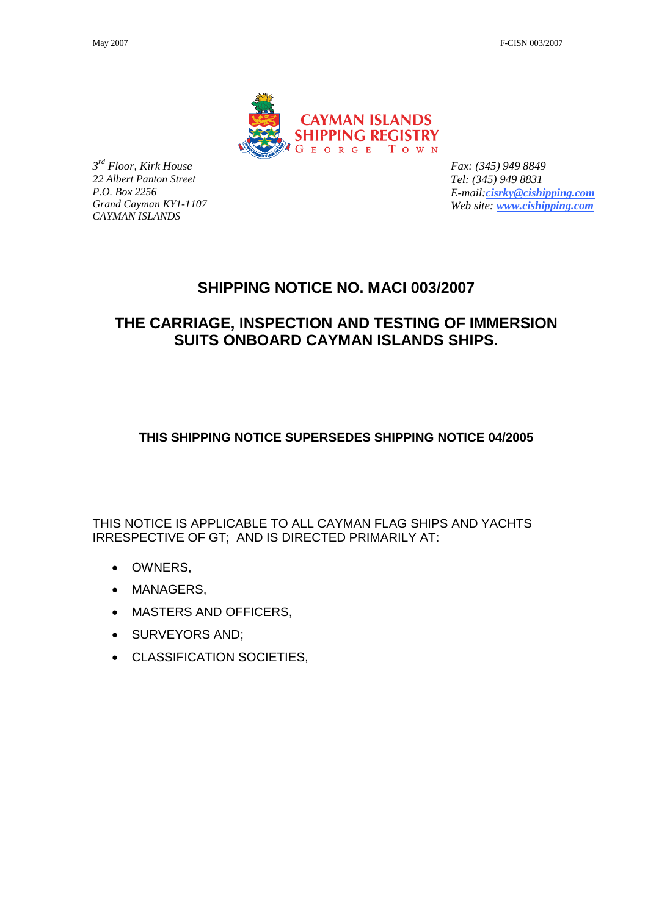May 2007 F-CISN 003/2007



*3 rd Floor, Kirk House 22 Albert Panton Street P.O. Box 2256 Grand Cayman KY1-1107 CAYMAN ISLANDS*

*Fax: (345) 949 8849 Tel: (345) 949 8831 E-mail:cisrky@cishipping.com Web site: www.cishipping.com*

# **SHIPPING NOTICE NO. MACI 003/2007**

# **THE CARRIAGE, INSPECTION AND TESTING OF IMMERSION SUITS ONBOARD CAYMAN ISLANDS SHIPS.**

## **THIS SHIPPING NOTICE SUPERSEDES SHIPPING NOTICE 04/2005**

THIS NOTICE IS APPLICABLE TO ALL CAYMAN FLAG SHIPS AND YACHTS IRRESPECTIVE OF GT; AND IS DIRECTED PRIMARILY AT:

- OWNERS,
- MANAGERS,
- MASTERS AND OFFICERS,
- SURVEYORS AND;
- CLASSIFICATION SOCIETIES,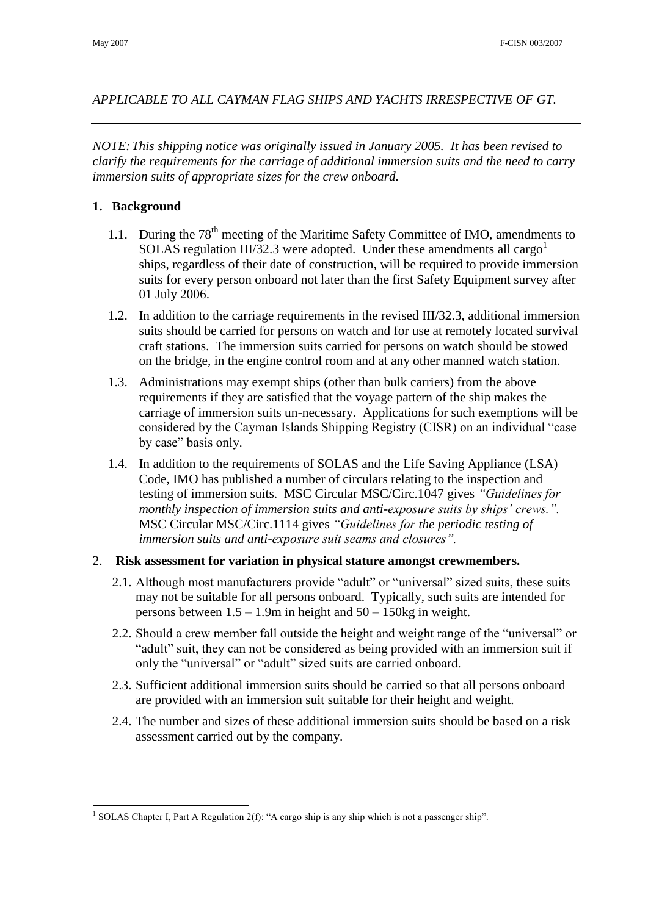### *APPLICABLE TO ALL CAYMAN FLAG SHIPS AND YACHTS IRRESPECTIVE OF GT.*

*NOTE:This shipping notice was originally issued in January 2005. It has been revised to clarify the requirements for the carriage of additional immersion suits and the need to carry immersion suits of appropriate sizes for the crew onboard.*

#### **1. Background**

- 1.1. During the 78<sup>th</sup> meeting of the Maritime Safety Committee of IMO, amendments to SOLAS regulation III/32.3 were adopted. Under these amendments all cargo<sup>1</sup> ships, regardless of their date of construction, will be required to provide immersion suits for every person onboard not later than the first Safety Equipment survey after 01 July 2006.
- 1.2. In addition to the carriage requirements in the revised III/32.3, additional immersion suits should be carried for persons on watch and for use at remotely located survival craft stations. The immersion suits carried for persons on watch should be stowed on the bridge, in the engine control room and at any other manned watch station.
- 1.3. Administrations may exempt ships (other than bulk carriers) from the above requirements if they are satisfied that the voyage pattern of the ship makes the carriage of immersion suits un-necessary. Applications for such exemptions will be considered by the Cayman Islands Shipping Registry (CISR) on an individual "case by case" basis only.
- 1.4. In addition to the requirements of SOLAS and the Life Saving Appliance (LSA) Code, IMO has published a number of circulars relating to the inspection and testing of immersion suits. MSC Circular MSC/Circ.1047 gives *"Guidelines for monthly inspection of immersion suits and anti-exposure suits by ships' crews.".* MSC Circular MSC/Circ.1114 gives *"Guidelines for the periodic testing of immersion suits and anti-exposure suit seams and closures".*

#### 2. **Risk assessment for variation in physical stature amongst crewmembers.**

- 2.1. Although most manufacturers provide "adult" or "universal" sized suits, these suits may not be suitable for all persons onboard. Typically, such suits are intended for persons between 1.5 – 1.9m in height and 50 – 150kg in weight.
- 2.2. Should a crew member fall outside the height and weight range of the "universal" or "adult" suit, they can not be considered as being provided with an immersion suit if only the "universal" or "adult" sized suits are carried onboard.
- 2.3. Sufficient additional immersion suits should be carried so that all persons onboard are provided with an immersion suit suitable for their height and weight.
- 2.4. The number and sizes of these additional immersion suits should be based on a risk assessment carried out by the company.

<sup>1</sup> <sup>1</sup> SOLAS Chapter I, Part A Regulation 2(f): "A cargo ship is any ship which is not a passenger ship".